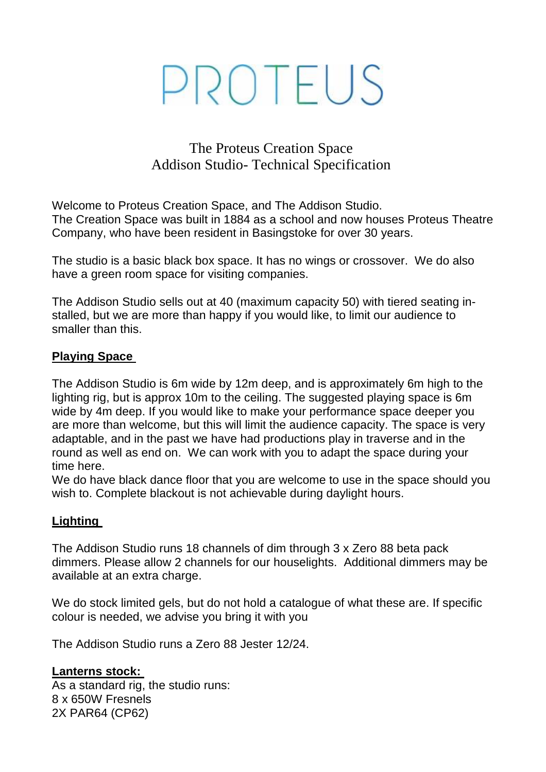# PROTEUS

## The Proteus Creation Space Addison Studio- Technical Specification

Welcome to Proteus Creation Space, and The Addison Studio. The Creation Space was built in 1884 as a school and now houses Proteus Theatre Company, who have been resident in Basingstoke for over 30 years.

The studio is a basic black box space. It has no wings or crossover. We do also have a green room space for visiting companies.

The Addison Studio sells out at 40 (maximum capacity 50) with tiered seating installed, but we are more than happy if you would like, to limit our audience to smaller than this.

## **Playing Space**

The Addison Studio is 6m wide by 12m deep, and is approximately 6m high to the lighting rig, but is approx 10m to the ceiling. The suggested playing space is 6m wide by 4m deep. If you would like to make your performance space deeper you are more than welcome, but this will limit the audience capacity. The space is very adaptable, and in the past we have had productions play in traverse and in the round as well as end on. We can work with you to adapt the space during your time here.

We do have black dance floor that you are welcome to use in the space should you wish to. Complete blackout is not achievable during daylight hours.

## **Lighting**

The Addison Studio runs 18 channels of dim through 3 x Zero 88 beta pack dimmers. Please allow 2 channels for our houselights. Additional dimmers may be available at an extra charge.

We do stock limited gels, but do not hold a catalogue of what these are. If specific colour is needed, we advise you bring it with you

The Addison Studio runs a Zero 88 Jester 12/24.

## **Lanterns stock:**

As a standard rig, the studio runs: 8 x 650W Fresnels 2X PAR64 (CP62)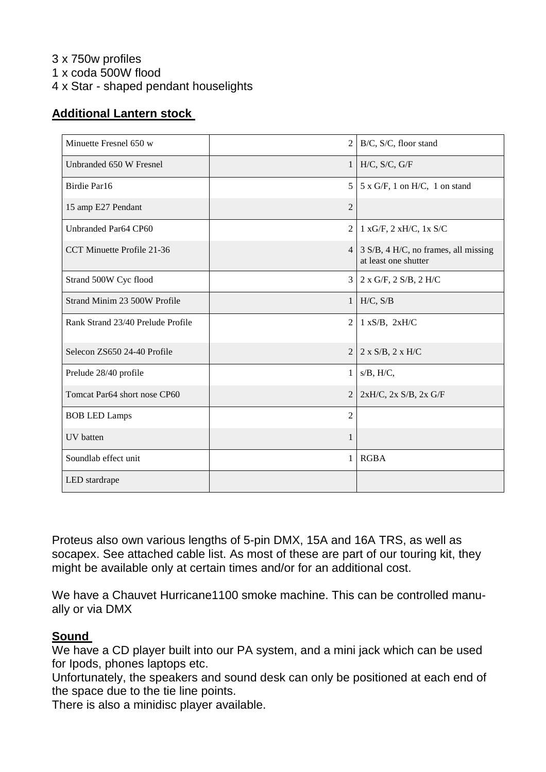3 x 750w profiles 1 x coda 500W flood 4 x Star - shaped pendant houselights

#### **Additional Lantern stock**

| Minuette Fresnel 650 w            | $\overline{2}$ | B/C, S/C, floor stand                                        |
|-----------------------------------|----------------|--------------------------------------------------------------|
| Unbranded 650 W Fresnel           |                | $1$ H/C, S/C, G/F                                            |
| Birdie Par16                      | 5              | $5 \times G/F$ , 1 on H/C, 1 on stand                        |
| 15 amp E27 Pendant                | $\overline{2}$ |                                                              |
| Unbranded Par64 CP60              | $\mathfrak{2}$ | $1 xG/F$ , $2 xH/C$ , $1x S/C$                               |
| CCT Minuette Profile 21-36        | 4              | 3 S/B, 4 H/C, no frames, all missing<br>at least one shutter |
| Strand 500W Cyc flood             | 3              | $2 x G/F$ , $2 S/B$ , $2 H/C$                                |
| Strand Minim 23 500W Profile      | 1 <sup>1</sup> | H/C, S/B                                                     |
| Rank Strand 23/40 Prelude Profile | 2              | $1 xS/B$ , $2xH/C$                                           |
| Selecon ZS650 24-40 Profile       | 2              | $2 x S/B$ , $2 x H/C$                                        |
| Prelude 28/40 profile             | $\mathbf{1}$   | $s/B$ , $H/C$ ,                                              |
| Tomcat Par64 short nose CP60      | 2              | $2xH/C$ , $2x S/B$ , $2x G/F$                                |
| <b>BOB LED Lamps</b>              | $\overline{2}$ |                                                              |
| UV batten                         | 1              |                                                              |
| Soundlab effect unit              | $\mathbf{1}$   | <b>RGBA</b>                                                  |
| LED stardrape                     |                |                                                              |

Proteus also own various lengths of 5-pin DMX, 15A and 16A TRS, as well as socapex. See attached cable list. As most of these are part of our touring kit, they might be available only at certain times and/or for an additional cost.

We have a Chauvet Hurricane1100 smoke machine. This can be controlled manually or via DMX

#### **Sound**

We have a CD player built into our PA system, and a mini jack which can be used for Ipods, phones laptops etc.

Unfortunately, the speakers and sound desk can only be positioned at each end of the space due to the tie line points.

There is also a minidisc player available.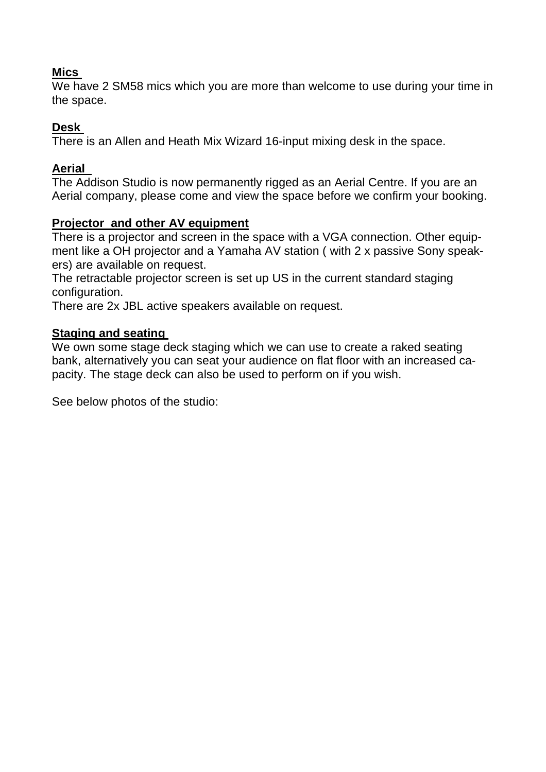## **Mics**

We have 2 SM58 mics which you are more than welcome to use during your time in the space.

## **Desk**

There is an Allen and Heath Mix Wizard 16-input mixing desk in the space.

## **Aerial**

The Addison Studio is now permanently rigged as an Aerial Centre. If you are an Aerial company, please come and view the space before we confirm your booking.

## **Projector and other AV equipment**

There is a projector and screen in the space with a VGA connection. Other equipment like a OH projector and a Yamaha AV station ( with 2 x passive Sony speakers) are available on request.

The retractable projector screen is set up US in the current standard staging configuration.

There are 2x JBL active speakers available on request.

## **Staging and seating**

We own some stage deck staging which we can use to create a raked seating bank, alternatively you can seat your audience on flat floor with an increased capacity. The stage deck can also be used to perform on if you wish.

See below photos of the studio: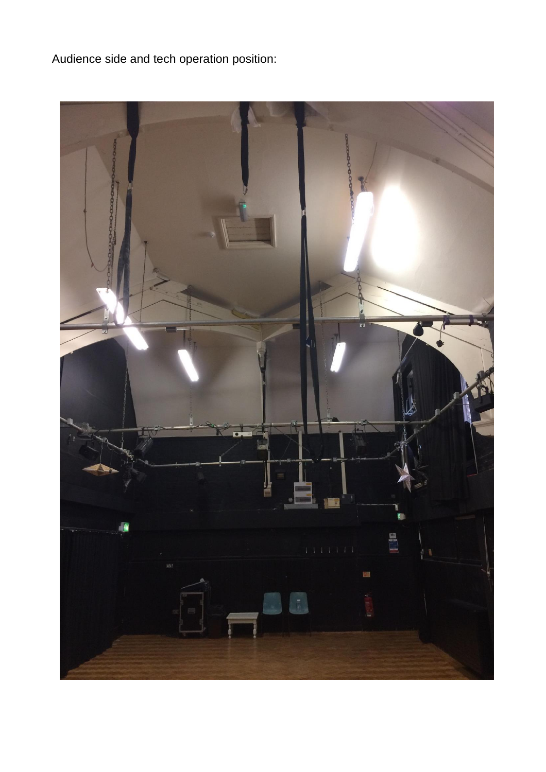Audience side and tech operation position: